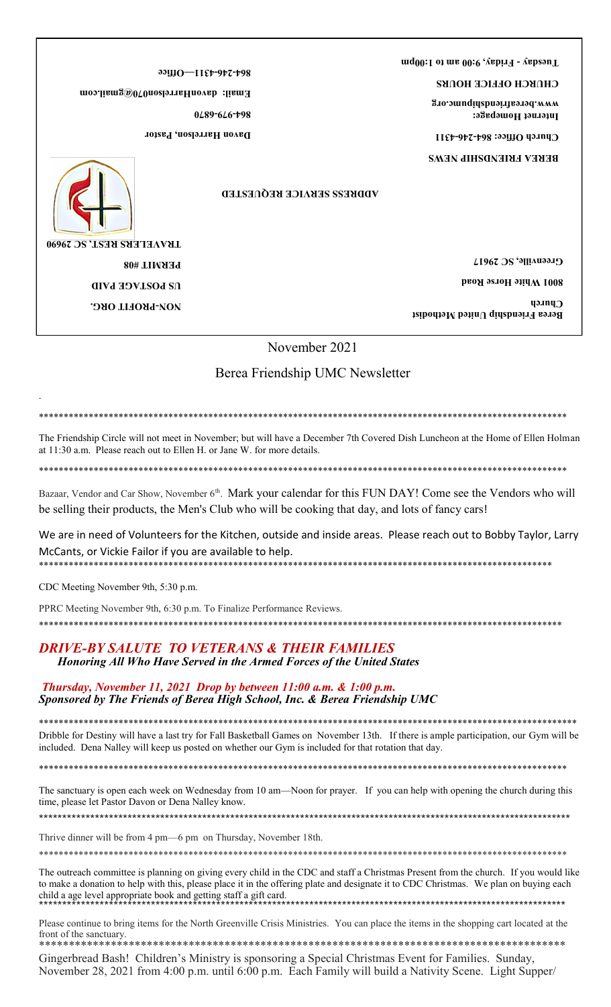**Friday, 9:00 am to 1:00pm - Tuesday** 

**CHURCH OFFICE HOURS**

**Internet Homepage: www.bereafriendshipumc.org**

**4311 - 246 - Church Office: 864**

**BEREA FRIENDSHIP NEWS**

**Office — 4311- 246 - 864**

**Email: davonHarrelson070@gmail.com**

**6870 - 979 - 864**

**Davon Harrelson, Pastor**

**ADDRESS SERVICE REQUESTED**



.

**PROFIT ORG. - NON US POSTAGE PAID PERMIT #08 TRAVELERS REST, SC 29690**

**Greenville, SC 29617**

**8001 White Horse Road**

**Berea Friendship United Methodist Church**

November 2021

Berea Friendship UMC Newsletter

\*\*\*\*\*\*\*\*\*\*\*\*\*\*\*\*\*\*\*\*\*\*\*\*\*\*\*\*\*\*\*\*\*\*\*\*\*\*\*\*\*\*\*\*\*\*\*\*\*\*\*\*\*\*\*\*\*\*\*\*\*\*\*\*\*\*\*\*\*\*\*\*\*\*\*\*\*\*\*\*\*\*\*\*\*\*\*\*\*\*\*\*\*\*\*\*\*\*\*\*\*\*\*\*\*\*

The Friendship Circle will not meet in November; but will have a December 7th Covered Dish Luncheon at the Home of Ellen Holman at 11:30 a.m. Please reach out to Ellen H. or Jane W. for more details.

\*\*\*\*\*\*\*\*\*\*\*\*\*\*\*\*\*\*\*\*\*\*\*\*\*\*\*\*\*\*\*\*\*\*\*\*\*\*\*\*\*\*\*\*\*\*\*\*\*\*\*\*\*\*\*\*\*\*\*\*\*\*\*\*\*\*\*\*\*\*\*\*\*\*\*\*\*\*\*\*\*\*\*\*\*\*\*\*\*\*\*\*\*\*\*\*\*\*\*\*\*\*\*\*\*\*

Bazaar, Vendor and Car Show, November 6<sup>th</sup>. Mark your calendar for this FUN DAY! Come see the Vendors who will be selling their products, the Men's Club who will be cooking that day, and lots of fancy cars!

We are in need of Volunteers for the Kitchen, outside and inside areas. Please reach out to Bobby Taylor, Larry McCants, or Vickie Failor if you are available to help. \*\*\*\*\*\*\*\*\*\*\*\*\*\*\*\*\*\*\*\*\*\*\*\*\*\*\*\*\*\*\*\*\*\*\*\*\*\*\*\*\*\*\*\*\*\*\*\*\*\*\*\*\*\*\*\*\*\*\*\*\*\*\*\*\*\*\*\*\*\*\*\*\*\*\*\*\*\*\*\*\*\*\*\*\*\*\*\*\*\*\*\*\*\*\*\*\*\*\*\*\*\*\*

CDC Meeting November 9th, 5:30 p.m.

PPRC Meeting November 9th, 6:30 p.m. To Finalize Performance Reviews.

\*\*\*\*\*\*\*\*\*\*\*\*\*\*\*\*\*\*\*\*\*\*\*\*\*\*\*\*\*\*\*\*\*\*\*\*\*\*\*\*\*\*\*\*\*\*\*\*\*\*\*\*\*\*\*\*\*\*\*\*\*\*\*\*\*\*\*\*\*\*\*\*\*\*\*\*\*\*\*\*\*\*\*\*\*\*\*\*\*\*\*\*\*\*\*\*\*\*\*\*\*\*\*\*\*

# *DRIVE-BY SALUTE TO VETERANS & THEIR FAMILIES Honoring All Who Have Served in the Armed Forces of the United States*

*Thursday, November 11, 2021 Drop by between 11:00 a.m. & 1:00 p.m. Sponsored by The Friends of Berea High School, Inc. & Berea Friendship UMC*

\*\*\*\*\*\*\*\*\*\*\*\*\*\*\*\*\*\*\*\*\*\*\*\*\*\*\*\*\*\*\*\*\*\*\*\*\*\*\*\*\*\*\*\*\*\*\*\*\*\*\*\*\*\*\*\*\*\*\*\*\*\*\*\*\*\*\*\*\*\*\*\*\*\*\*\*\*\*\*\*\*\*\*\*\*\*\*\*\*\*\*\*\*\*\*\*\*\*\*\*\*\*\*\*\*\*\*\* Dribble for Destiny will have a last try for Fall Basketball Games on November 13th. If there is ample participation, our Gym will be included. Dena Nalley will keep us posted on whether our Gym is included for that rotation that day.

\*\*\*\*\*\*\*\*\*\*\*\*\*\*\*\*\*\*\*\*\*\*\*\*\*\*\*\*\*\*\*\*\*\*\*\*\*\*\*\*\*\*\*\*\*\*\*\*\*\*\*\*\*\*\*\*\*\*\*\*\*\*\*\*\*\*\*\*\*\*\*\*\*\*\*\*\*\*\*\*\*\*\*\*\*\*\*\*\*\*\*\*\*\*\*\*\*\*\*\*\*\*\*\*\*\*

The sanctuary is open each week on Wednesday from 10 am—Noon for prayer. If you can help with opening the church during this time, please let Pastor Davon or Dena Nalley know. \*\*\*\*\*\*\*\*\*\*\*\*\*\*\*\*\*\*\*\*\*\*\*\*\*\*\*\*\*\*\*\*\*\*\*\*\*\*\*\*\*\*\*\*\*\*\*\*\*\*\*\*\*\*\*\*\*\*\*\*\*\*\*\*\*\*\*\*\*\*\*\*\*\*\*\*\*\*\*\*\*\*\*\*\*\*\*\*\*\*\*\*\*\*\*\*\*\*\*\*\*\*\*\*\*\*\*\*\*\*\*\*\*\*

Thrive dinner will be from 4 pm—6 pm on Thursday, November 18th.

The outreach committee is planning on giving every child in the CDC and staff a Christmas Present from the church. If you would like to make a donation to help with this, please place it in the offering plate and designate it to CDC Christmas. We plan on buying each child a age level appropriate book and getting staff a gift card. \*\*\*\*\*\*\*\*\*\*\*\*\*\*\*\*\*\*\*\*\*\*\*\*\*\*\*\*\*\*\*\*\*\*\*\*\*\*\*\*\*\*\*\*\*\*\*\*\*\*\*\*\*\*\*\*\*\*\*\*\*\*\*\*\*\*\*\*\*\*\*\*\*\*\*\*\*\*\*\*\*\*\*\*\*\*\*\*\*\*\*\*\*\*\*\*\*\*\*\*\*\*\*\*\*\*\*\*\*\*\*\*\*

\*\*\*\*\*\*\*\*\*\*\*\*\*\*\*\*\*\*\*\*\*\*\*\*\*\*\*\*\*\*\*\*\*\*\*\*\*\*\*\*\*\*\*\*\*\*\*\*\*\*\*\*\*\*\*\*\*\*\*\*\*\*\*\*\*\*\*\*\*\*\*\*\*\*\*\*\*\*\*\*\*\*\*\*\*\*\*\*\*\*\*\*\*\*\*\*\*\*\*\*\*\*\*\*\*\*

Please continue to bring items for the North Greenville Crisis Ministries. You can place the items in the shopping cart located at the front of the sanctuary. \*\*\*\*\*\*\*\*\*\*\*\*\*\*\*\*\*\*\*\*\*\*\*\*\*\*\*\*\*\*\*\*\*\*\*\*\*\*\*\*\*\*\*\*\*\*\*\*\*\*\*\*\*\*\*\*\*\*\*\*\*\*\*\*\*\*\*\*\*\*\*\*\*\*\*\*\*\*\*\*\*\*\*\*\*\*\*\*

Gingerbread Bash! Children's Ministry is sponsoring a Special Christmas Event for Families. Sunday, November 28, 2021 from 4:00 p.m. until 6:00 p.m. Each Family will build a Nativity Scene. Light Supper/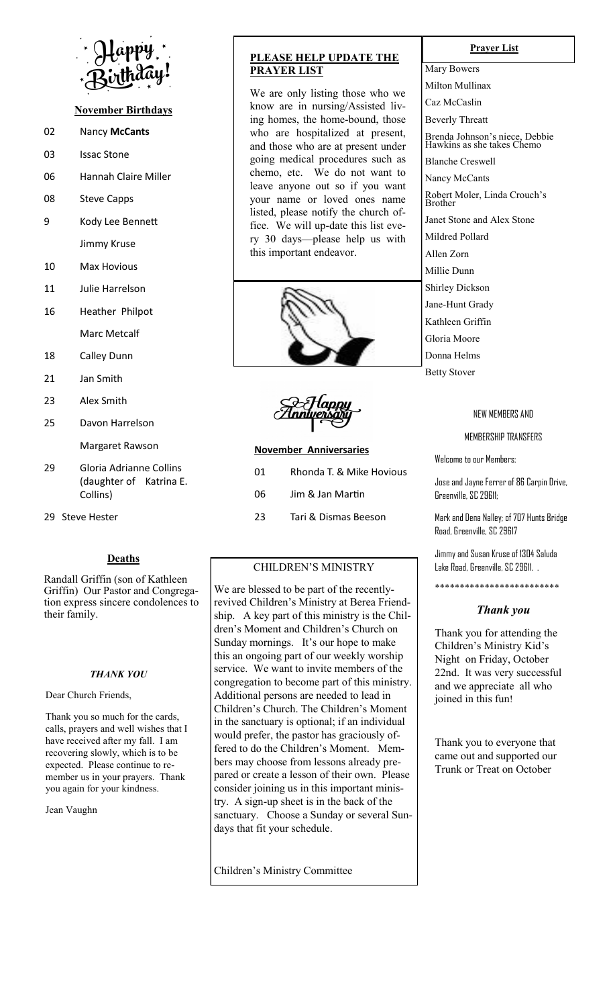

# **November Birthdays**

- 02 Nancy **McCants**
- 03 Issac Stone
- 06 Hannah Claire Miller
- 08 Steve Capps
- 9 Kody Lee Bennett Jimmy Kruse
- 10 Max Hovious
- 11 Julie Harrelson
- 16 Heather Philpot Marc Metcalf
- 18 Calley Dunn
- 21 Jan Smith
- 23 Alex Smith
- 25 Davon Harrelson

Margaret Rawson

- 29 Gloria Adrianne Collins (daughter of Katrina E. Collins)
- 29 Steve Hester

# **Deaths**

Randall Griffin (son of Kathleen Griffin) Our Pastor and Congregation express sincere condolences to their family.

#### *THANK YOU*

Dear Church Friends,

Thank you so much for the cards, calls, prayers and well wishes that I have received after my fall. I am recovering slowly, which is to be expected. Please continue to remember us in your prayers. Thank you again for your kindness.

Jean Vaughn

# **PLEASE HELP UPDATE THE PRAYER LIST**

We are only listing those who we know are in nursing/Assisted living homes, the home-bound, those who are hospitalized at present, and those who are at present under going medical procedures such as chemo, etc. We do not want to leave anyone out so if you want your name or loved ones name listed, please notify the church office. We will up-date this list every 30 days—please help us with this important endeavor.



#### **November Anniversaries**

| 01 | Rhonda T. & Mike Hovious |
|----|--------------------------|
| 06 | Jim & Jan Martin         |
| 23 | Tari & Dismas Beeson     |

## CHILDREN'S MINISTRY

We are blessed to be part of the recentlyrevived Children's Ministry at Berea Friendship. A key part of this ministry is the Children's Moment and Children's Church on Sunday mornings. It's our hope to make this an ongoing part of our weekly worship service. We want to invite members of the congregation to become part of this ministry. Additional persons are needed to lead in Children's Church. The Children's Moment in the sanctuary is optional; if an individual would prefer, the pastor has graciously offered to do the Children's Moment. Members may choose from lessons already prepared or create a lesson of their own. Please consider joining us in this important ministry. A sign-up sheet is in the back of the sanctuary. Choose a Sunday or several Sundays that fit your schedule.

Children's Ministry Committee

#### **Prayer List**

Mary Bowers Milton Mullinax Caz McCaslin Beverly Threatt Brenda Johnson's niece, Debbie Hawkins as she takes Chemo Blanche Creswell Nancy McCants Robert Moler, Linda Crouch's Brother Janet Stone and Alex Stone Mildred Pollard Allen Zorn Millie Dunn Shirley Dickson Jane-Hunt Grady Kathleen Griffin Gloria Moore Donna Helms Betty Stover

#### NEW MEMBERS AND

## MEMBERSHIP TRANSFERS

Welcome to our Members:

Jose and Jayne Ferrer of 86 Carpin Drive, Greenville, SC 29611;

Mark and Dena Nalley; of 707 Hunts Bridge Road, Greenville, SC 29617

Jimmy and Susan Kruse of 1304 Saluda Lake Road, Greenville, SC 29611. .

\*\*\*\*\*\*\*\*\*\*\*\*\*\*\*\*\*\*\*\*\*\*\*\*\*

#### *Thank you*

Thank you for attending the Children's Ministry Kid's Night on Friday, October 22nd. It was very successful and we appreciate all who joined in this fun!

Thank you to everyone that came out and supported our Trunk or Treat on October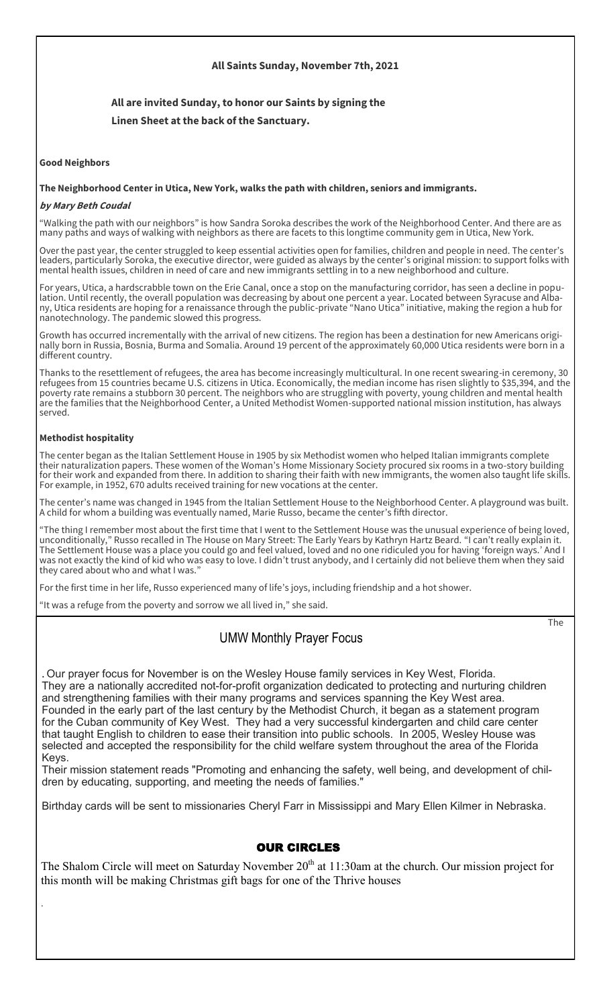## **All Saints Sunday, November 7th, 2021**

# **All are invited Sunday, to honor our Saints by signing the Linen Sheet at the back of the Sanctuary.**

#### **Good Neighbors**

#### **The Neighborhood Center in Utica, New York, walks the path with children, seniors and immigrants.**

#### **by Mary Beth Coudal**

"Walking the path with our neighbors" is how Sandra Soroka describes the work of the Neighborhood Center. And there are as many paths and ways of walking with neighbors as there are facets to this longtime community gem in Utica, New York.

Over the past year, the center struggled to keep essential activities open for families, children and people in need. The center's leaders, particularly Soroka, the executive director, were guided as always by the center's original mission: to support folks with mental health issues, children in need of care and new immigrants settling in to a new neighborhood and culture.

For years, Utica, a hardscrabble town on the Erie Canal, once a stop on the manufacturing corridor, has seen a decline in population. Until recently, the overall population was decreasing by about one percent a year. Located between Syracuse and Albany, Utica residents are hoping for a renaissance through the public-private "Nano Utica" initiative, making the region a hub for nanotechnology. The pandemic slowed this progress.

Growth has occurred incrementally with the arrival of new citizens. The region has been a destination for new Americans originally born in Russia, Bosnia, Burma and Somalia. Around 19 percent of the approximately 60,000 Utica residents were born in a different country.

Thanks to the resettlement of refugees, the area has become increasingly multicultural. In one recent swearing-in ceremony, 30 refugees from 15 countries became U.S. citizens in Utica. Economically, the median income has risen slightly to \$35,394, and the poverty rate remains a stubborn 30 percent. The neighbors who are struggling with poverty, young children and mental health are the families that the Neighborhood Center, a United Methodist Women-supported national mission institution, has always served.

#### **Methodist hospitality**

.

The center began as the Italian Settlement House in 1905 by six Methodist women who helped Italian immigrants complete their naturalization papers. These women of the Woman's Home Missionary Society procured six rooms in a two-story building for their work and expanded from there. In addition to sharing their faith with new immigrants, the women also taught life skills. For example, in 1952, 670 adults received training for new vocations at the center.

The center's name was changed in 1945 from the Italian Settlement House to the Neighborhood Center. A playground was built. A child for whom a building was eventually named, Marie Russo, became the center's fifth director.

The thing I remember most about the first time that I went to the Settlement House was the unusual experience of being loved, unconditionally," Russo recalled in The House on Mary Street: The Early Years by Kathryn Hartz Beard. "I can't really explain it. The Settlement House was a place you could go and feel valued, loved and no one ridiculed you for having 'foreign ways.' And I was not exactly the kind of kid who was easy to love. I didn't trust anybody, and I certainly did not believe them when they said they cared about who and what I was.'

For the first time in her life, Russo experienced many of life's joys, including friendship and a hot shower.

"It was a refuge from the poverty and sorrow we all lived in," she said.

# UMW Monthly Prayer Focus

The

. Our prayer focus for November is on the Wesley House family services in Key West, Florida. They are a nationally accredited not-for-profit organization dedicated to protecting and nurturing children and strengthening families with their many programs and services spanning the Key West area. Founded in the early part of the last century by the Methodist Church, it began as a statement program for the Cuban community of Key West. They had a very successful kindergarten and child care center that taught English to children to ease their transition into public schools. In 2005, Wesley House was selected and accepted the responsibility for the child welfare system throughout the area of the Florida Keys.

Their mission statement reads "Promoting and enhancing the safety, well being, and development of children by educating, supporting, and meeting the needs of families."

Birthday cards will be sent to missionaries Cheryl Farr in Mississippi and Mary Ellen Kilmer in Nebraska.

# OUR CIRCLES

The Shalom Circle will meet on Saturday November  $20<sup>th</sup>$  at 11:30am at the church. Our mission project for this month will be making Christmas gift bags for one of the Thrive houses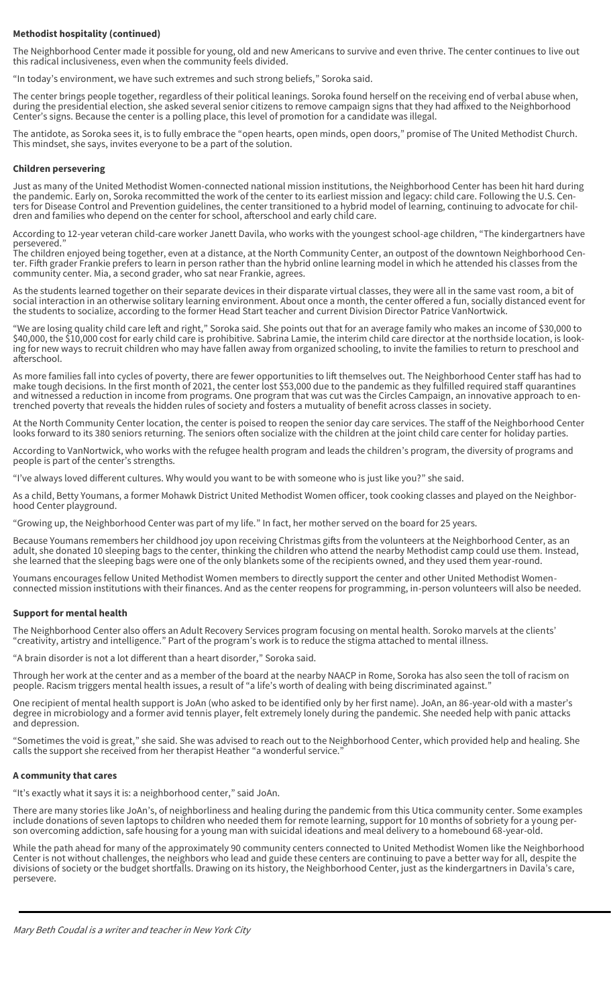#### **Methodist hospitality (continued)**

The Neighborhood Center made it possible for young, old and new Americans to survive and even thrive. The center continues to live out this radical inclusiveness, even when the community feels divided.

"In today's environment, we have such extremes and such strong beliefs," Soroka said.

The center brings people together, regardless of their political leanings. Soroka found herself on the receiving end of verbal abuse when, during the presidential election, she asked several senior citizens to remove campaign signs that they had affixed to the Neighborhood Center's signs. Because the center is a polling place, this level of promotion for a candidate was illegal.

The antidote, as Soroka sees it, is to fully embrace the "open hearts, open minds, open doors," promise of The United Methodist Church. This mindset, she says, invites everyone to be a part of the solution.

#### **Children persevering**

Just as many of the United Methodist Women-connected national mission institutions, the Neighborhood Center has been hit hard during the pandemic. Early on, Soroka recommitted the work of the center to its earliest mission and legacy: child care. Following the U.S. Centers for Disease Control and Prevention guidelines, the center transitioned to a hybrid model of learning, continuing to advocate for children and families who depend on the center for school, afterschool and early child care.

According to 12-year veteran child-care worker Janett Davila, who works with the youngest school-age children, "The kindergartners have persevered.'

The children enjoyed being together, even at a distance, at the North Community Center, an outpost of the downtown Neighborhood Center. Fifth grader Frankie prefers to learn in person rather than the hybrid online learning model in which he attended his classes from the community center. Mia, a second grader, who sat near Frankie, agrees.

As the students learned together on their separate devices in their disparate virtual classes, they were all in the same vast room, a bit of social interaction in an otherwise solitary learning environment. About once a month, the center offered a fun, socially distanced event for the students to socialize, according to the former Head Start teacher and current Division Director Patrice VanNortwick.

"We are losing quality child care left and right," Soroka said. She points out that for an average family who makes an income of \$30,000 to \$40,000, the \$10,000 cost for early child care is prohibitive. Sabrina Lamie, the interim child care director at the northside location, is looking for new ways to recruit children who may have fallen away from organized schooling, to invite the families to return to preschool and afterschool.

As more families fall into cycles of poverty, there are fewer opportunities to lift themselves out. The Neighborhood Center staff has had to make tough decisions. In the first month of 2021, the center lost \$53,000 due to the pandemic as they fulfilled required staff quarantines and witnessed a reduction in income from programs. One program that was cut was the Circles Campaign, an innovative approach to entrenched poverty that reveals the hidden rules of society and fosters a mutuality of benefit across classes in society.

At the North Community Center location, the center is poised to reopen the senior day care services. The staff of the Neighborhood Center looks forward to its 380 seniors returning. The seniors often socialize with the children at the joint child care center for holiday parties.

According to VanNortwick, who works with the refugee health program and leads the children's program, the diversity of programs and people is part of the center's strengths.

"I've always loved different cultures. Why would you want to be with someone who is just like you?" she said.

As a child, Betty Youmans, a former Mohawk District United Methodist Women officer, took cooking classes and played on the Neighborhood Center playground.

"Growing up, the Neighborhood Center was part of my life." In fact, her mother served on the board for 25 years.

Because Youmans remembers her childhood joy upon receiving Christmas gifts from the volunteers at the Neighborhood Center, as an adult, she donated 10 sleeping bags to the center, thinking the children who attend the nearby Methodist camp could use them. Instead, she learned that the sleeping bags were one of the only blankets some of the recipients owned, and they used them year-round.

Youmans encourages fellow United Methodist Women members to directly support the center and other United Methodist Womenconnected mission institutions with their finances. And as the center reopens for programming, in-person volunteers will also be needed.

#### **Support for mental health**

The Neighborhood Center also offers an Adult Recovery Services program focusing on mental health. Soroko marvels at the clients' "creativity, artistry and intelligence." Part of the program's work is to reduce the stigma attached to mental illness.

"A brain disorder is not a lot different than a heart disorder," Soroka said.

Through her work at the center and as a member of the board at the nearby NAACP in Rome, Soroka has also seen the toll of racism on people. Racism triggers mental health issues, a result of "a life's worth of dealing with being discriminated against."

One recipient of mental health support is JoAn (who asked to be identified only by her first name). JoAn, an 86-year-old with a master's degree in microbiology and a former avid tennis player, felt extremely lonely during the pandemic. She needed help with panic attacks and depression.

"Sometimes the void is great," she said. She was advised to reach out to the Neighborhood Center, which provided help and healing. She calls the support she received from her therapist Heather "a wonderful service.

#### **A community that cares**

"It's exactly what it says it is: a neighborhood center," said JoAn.

There are many stories like JoAn's, of neighborliness and healing during the pandemic from this Utica community center. Some examples include donations of seven laptops to children who needed them for remote learning, support for 10 months of sobriety for a young person overcoming addiction, safe housing for a young man with suicidal ideations and meal delivery to a homebound 68-year-old.

While the path ahead for many of the approximately 90 community centers connected to United Methodist Women like the Neighborhood Center is not without challenges, the neighbors who lead and guide these centers are continuing to pave a better way for all, despite the divisions of society or the budget shortfalls. Drawing on its history, the Neighborhood Center, just as the kindergartners in Davila's care, persevere.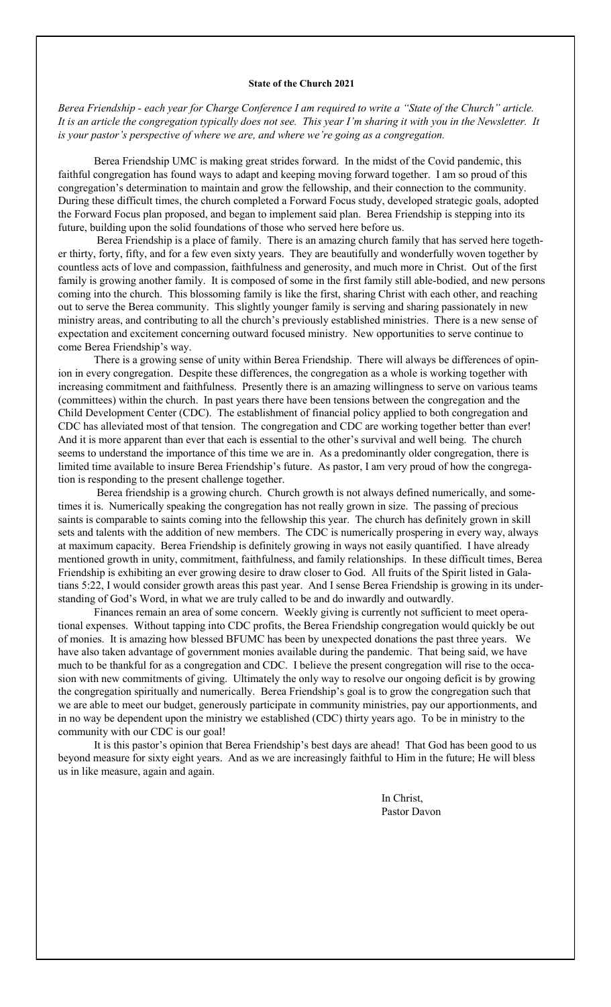#### **State of the Church 2021**

*Berea Friendship - each year for Charge Conference I am required to write a "State of the Church" article. It is an article the congregation typically does not see. This year I'm sharing it with you in the Newsletter. It is your pastor's perspective of where we are, and where we're going as a congregation.* 

Berea Friendship UMC is making great strides forward. In the midst of the Covid pandemic, this faithful congregation has found ways to adapt and keeping moving forward together. I am so proud of this congregation's determination to maintain and grow the fellowship, and their connection to the community. During these difficult times, the church completed a Forward Focus study, developed strategic goals, adopted the Forward Focus plan proposed, and began to implement said plan. Berea Friendship is stepping into its future, building upon the solid foundations of those who served here before us.

Berea Friendship is a place of family. There is an amazing church family that has served here together thirty, forty, fifty, and for a few even sixty years. They are beautifully and wonderfully woven together by countless acts of love and compassion, faithfulness and generosity, and much more in Christ. Out of the first family is growing another family. It is composed of some in the first family still able-bodied, and new persons coming into the church. This blossoming family is like the first, sharing Christ with each other, and reaching out to serve the Berea community. This slightly younger family is serving and sharing passionately in new ministry areas, and contributing to all the church's previously established ministries. There is a new sense of expectation and excitement concerning outward focused ministry. New opportunities to serve continue to come Berea Friendship's way.

There is a growing sense of unity within Berea Friendship. There will always be differences of opinion in every congregation. Despite these differences, the congregation as a whole is working together with increasing commitment and faithfulness. Presently there is an amazing willingness to serve on various teams (committees) within the church. In past years there have been tensions between the congregation and the Child Development Center (CDC). The establishment of financial policy applied to both congregation and CDC has alleviated most of that tension. The congregation and CDC are working together better than ever! And it is more apparent than ever that each is essential to the other's survival and well being. The church seems to understand the importance of this time we are in. As a predominantly older congregation, there is limited time available to insure Berea Friendship's future. As pastor, I am very proud of how the congregation is responding to the present challenge together.

Berea friendship is a growing church. Church growth is not always defined numerically, and sometimes it is. Numerically speaking the congregation has not really grown in size. The passing of precious saints is comparable to saints coming into the fellowship this year. The church has definitely grown in skill sets and talents with the addition of new members. The CDC is numerically prospering in every way, always at maximum capacity. Berea Friendship is definitely growing in ways not easily quantified. I have already mentioned growth in unity, commitment, faithfulness, and family relationships. In these difficult times, Berea Friendship is exhibiting an ever growing desire to draw closer to God. All fruits of the Spirit listed in Galatians 5:22, I would consider growth areas this past year. And I sense Berea Friendship is growing in its understanding of God's Word, in what we are truly called to be and do inwardly and outwardly.

Finances remain an area of some concern. Weekly giving is currently not sufficient to meet operational expenses. Without tapping into CDC profits, the Berea Friendship congregation would quickly be out of monies. It is amazing how blessed BFUMC has been by unexpected donations the past three years. We have also taken advantage of government monies available during the pandemic. That being said, we have much to be thankful for as a congregation and CDC. I believe the present congregation will rise to the occasion with new commitments of giving. Ultimately the only way to resolve our ongoing deficit is by growing the congregation spiritually and numerically. Berea Friendship's goal is to grow the congregation such that we are able to meet our budget, generously participate in community ministries, pay our apportionments, and in no way be dependent upon the ministry we established (CDC) thirty years ago. To be in ministry to the community with our CDC is our goal!

It is this pastor's opinion that Berea Friendship's best days are ahead! That God has been good to us beyond measure for sixty eight years. And as we are increasingly faithful to Him in the future; He will bless us in like measure, again and again.

> In Christ, Pastor Davon